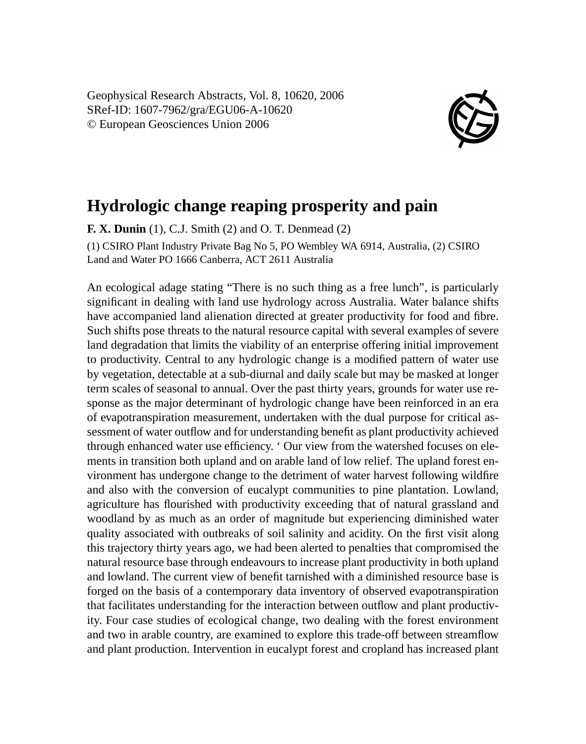Geophysical Research Abstracts, Vol. 8, 10620, 2006 SRef-ID: 1607-7962/gra/EGU06-A-10620 © European Geosciences Union 2006



## **Hydrologic change reaping prosperity and pain**

**F. X. Dunin** (1), C.J. Smith (2) and O. T. Denmead (2)

(1) CSIRO Plant Industry Private Bag No 5, PO Wembley WA 6914, Australia, (2) CSIRO Land and Water PO 1666 Canberra, ACT 2611 Australia

An ecological adage stating "There is no such thing as a free lunch", is particularly significant in dealing with land use hydrology across Australia. Water balance shifts have accompanied land alienation directed at greater productivity for food and fibre. Such shifts pose threats to the natural resource capital with several examples of severe land degradation that limits the viability of an enterprise offering initial improvement to productivity. Central to any hydrologic change is a modified pattern of water use by vegetation, detectable at a sub-diurnal and daily scale but may be masked at longer term scales of seasonal to annual. Over the past thirty years, grounds for water use response as the major determinant of hydrologic change have been reinforced in an era of evapotranspiration measurement, undertaken with the dual purpose for critical assessment of water outflow and for understanding benefit as plant productivity achieved through enhanced water use efficiency. ' Our view from the watershed focuses on elements in transition both upland and on arable land of low relief. The upland forest environment has undergone change to the detriment of water harvest following wildfire and also with the conversion of eucalypt communities to pine plantation. Lowland, agriculture has flourished with productivity exceeding that of natural grassland and woodland by as much as an order of magnitude but experiencing diminished water quality associated with outbreaks of soil salinity and acidity. On the first visit along this trajectory thirty years ago, we had been alerted to penalties that compromised the natural resource base through endeavours to increase plant productivity in both upland and lowland. The current view of benefit tarnished with a diminished resource base is forged on the basis of a contemporary data inventory of observed evapotranspiration that facilitates understanding for the interaction between outflow and plant productivity. Four case studies of ecological change, two dealing with the forest environment and two in arable country, are examined to explore this trade-off between streamflow and plant production. Intervention in eucalypt forest and cropland has increased plant